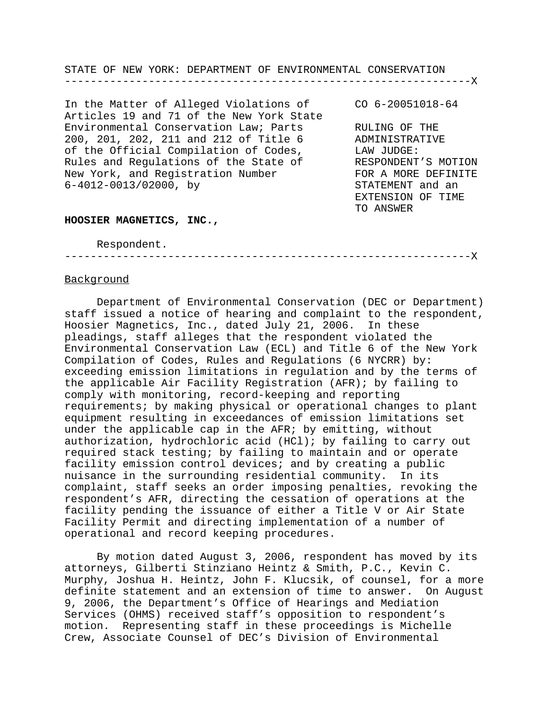STATE OF NEW YORK: DEPARTMENT OF ENVIRONMENTAL CONSERVATION ---------------------------------------------------------------X

In the Matter of Alleged Violations of CO 6-20051018-64 Articles 19 and 71 of the New York State Environmental Conservation Law; Parts RULING OF THE 200, 201, 202, 211 and 212 of Title 6 ADMINISTRATIVE of the Official Compilation of Codes, LAW JUDGE: Rules and Regulations of the State of RESPONDENT'S MOTION New York, and Registration Number TOR A MORE DEFINITE 6-4012-0013/02000, by STATEMENT and an

EXTENSION OF TIME TO ANSWER

#### **HOOSIER MAGNETICS, INC.,**

Respondent.

---------------------------------------------------------------X

### **Background**

Department of Environmental Conservation (DEC or Department) staff issued a notice of hearing and complaint to the respondent, Hoosier Magnetics, Inc., dated July 21, 2006. In these pleadings, staff alleges that the respondent violated the Environmental Conservation Law (ECL) and Title 6 of the New York Compilation of Codes, Rules and Regulations (6 NYCRR) by: exceeding emission limitations in regulation and by the terms of the applicable Air Facility Registration (AFR); by failing to comply with monitoring, record-keeping and reporting requirements; by making physical or operational changes to plant equipment resulting in exceedances of emission limitations set under the applicable cap in the AFR; by emitting, without authorization, hydrochloric acid (HCl); by failing to carry out required stack testing; by failing to maintain and or operate facility emission control devices; and by creating a public nuisance in the surrounding residential community. In its complaint, staff seeks an order imposing penalties, revoking the respondent's AFR, directing the cessation of operations at the facility pending the issuance of either a Title V or Air State Facility Permit and directing implementation of a number of operational and record keeping procedures.

By motion dated August 3, 2006, respondent has moved by its attorneys, Gilberti Stinziano Heintz & Smith, P.C., Kevin C. Murphy, Joshua H. Heintz, John F. Klucsik, of counsel, for a more definite statement and an extension of time to answer. On August 9, 2006, the Department's Office of Hearings and Mediation Services (OHMS) received staff's opposition to respondent's motion. Representing staff in these proceedings is Michelle Crew, Associate Counsel of DEC's Division of Environmental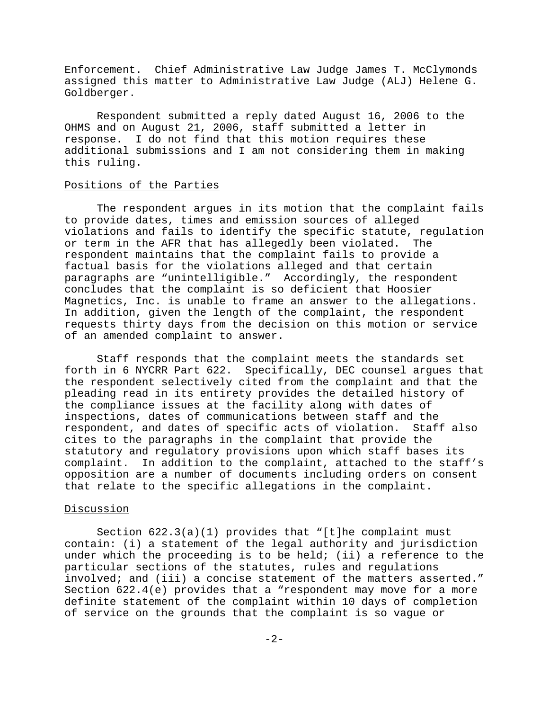Enforcement. Chief Administrative Law Judge James T. McClymonds assigned this matter to Administrative Law Judge (ALJ) Helene G. Goldberger.

Respondent submitted a reply dated August 16, 2006 to the OHMS and on August 21, 2006, staff submitted a letter in response. I do not find that this motion requires these additional submissions and I am not considering them in making this ruling.

### Positions of the Parties

The respondent argues in its motion that the complaint fails to provide dates, times and emission sources of alleged violations and fails to identify the specific statute, regulation or term in the AFR that has allegedly been violated. The respondent maintains that the complaint fails to provide a factual basis for the violations alleged and that certain paragraphs are "unintelligible." Accordingly, the respondent concludes that the complaint is so deficient that Hoosier Magnetics, Inc. is unable to frame an answer to the allegations. In addition, given the length of the complaint, the respondent requests thirty days from the decision on this motion or service of an amended complaint to answer.

Staff responds that the complaint meets the standards set forth in 6 NYCRR Part 622. Specifically, DEC counsel argues that the respondent selectively cited from the complaint and that the pleading read in its entirety provides the detailed history of the compliance issues at the facility along with dates of inspections, dates of communications between staff and the respondent, and dates of specific acts of violation. Staff also cites to the paragraphs in the complaint that provide the statutory and regulatory provisions upon which staff bases its complaint. In addition to the complaint, attached to the staff's opposition are a number of documents including orders on consent that relate to the specific allegations in the complaint.

#### Discussion

Section 622.3(a)(1) provides that "[t]he complaint must contain: (i) a statement of the legal authority and jurisdiction under which the proceeding is to be held; (ii) a reference to the particular sections of the statutes, rules and regulations involved; and (iii) a concise statement of the matters asserted." Section 622.4(e) provides that a "respondent may move for a more definite statement of the complaint within 10 days of completion of service on the grounds that the complaint is so vague or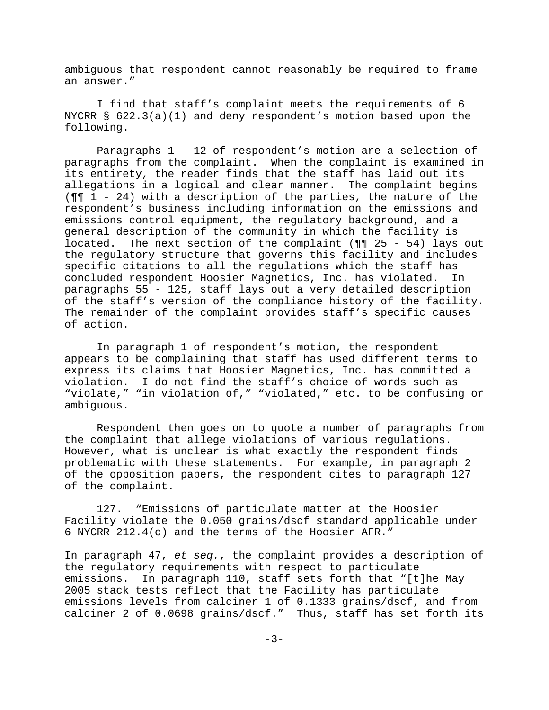ambiguous that respondent cannot reasonably be required to frame an answer."

I find that staff's complaint meets the requirements of 6 NYCRR § 622.3(a)(1) and deny respondent's motion based upon the following.

Paragraphs 1 - 12 of respondent's motion are a selection of paragraphs from the complaint. When the complaint is examined in its entirety, the reader finds that the staff has laid out its allegations in a logical and clear manner. The complaint begins (¶¶ 1 - 24) with a description of the parties, the nature of the respondent's business including information on the emissions and emissions control equipment, the regulatory background, and a general description of the community in which the facility is located. The next section of the complaint ( $\P$  $\P$  25 - 54) lays out the regulatory structure that governs this facility and includes specific citations to all the regulations which the staff has concluded respondent Hoosier Magnetics, Inc. has violated. In paragraphs 55 - 125, staff lays out a very detailed description of the staff's version of the compliance history of the facility. The remainder of the complaint provides staff's specific causes of action.

In paragraph 1 of respondent's motion, the respondent appears to be complaining that staff has used different terms to express its claims that Hoosier Magnetics, Inc. has committed a violation. I do not find the staff's choice of words such as "violate," "in violation of," "violated," etc. to be confusing or ambiguous.

Respondent then goes on to quote a number of paragraphs from the complaint that allege violations of various regulations. However, what is unclear is what exactly the respondent finds problematic with these statements. For example, in paragraph 2 of the opposition papers, the respondent cites to paragraph 127 of the complaint.

127. "Emissions of particulate matter at the Hoosier Facility violate the 0.050 grains/dscf standard applicable under 6 NYCRR 212.4(c) and the terms of the Hoosier AFR."

In paragraph 47, *et seq.*, the complaint provides a description of the regulatory requirements with respect to particulate emissions. In paragraph 110, staff sets forth that "[t]he May 2005 stack tests reflect that the Facility has particulate emissions levels from calciner 1 of 0.1333 grains/dscf, and from calciner 2 of 0.0698 grains/dscf." Thus, staff has set forth its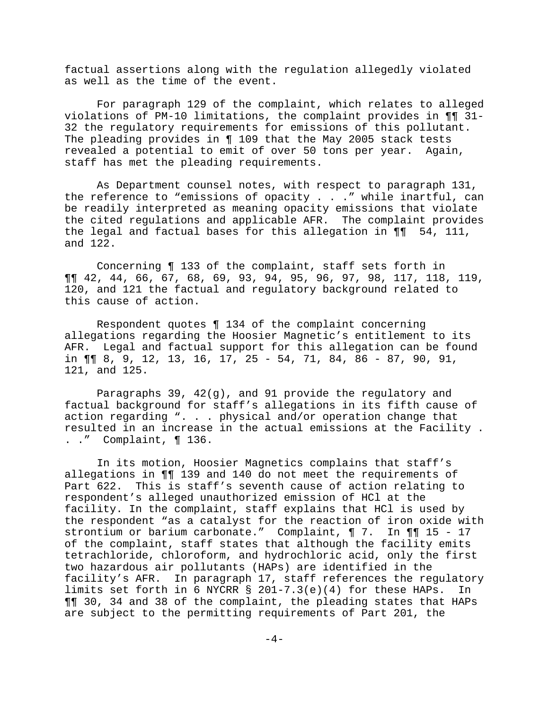factual assertions along with the regulation allegedly violated as well as the time of the event.

For paragraph 129 of the complaint, which relates to alleged violations of PM-10 limitations, the complaint provides in ¶¶ 31- 32 the regulatory requirements for emissions of this pollutant. The pleading provides in ¶ 109 that the May 2005 stack tests revealed a potential to emit of over 50 tons per year. Again, staff has met the pleading requirements.

As Department counsel notes, with respect to paragraph 131, the reference to "emissions of opacity . . ." while inartful, can be readily interpreted as meaning opacity emissions that violate the cited regulations and applicable AFR. The complaint provides the legal and factual bases for this allegation in ¶¶ 54, 111, and 122.

Concerning ¶ 133 of the complaint, staff sets forth in ¶¶ 42, 44, 66, 67, 68, 69, 93, 94, 95, 96, 97, 98, 117, 118, 119, 120, and 121 the factual and regulatory background related to this cause of action.

Respondent quotes ¶ 134 of the complaint concerning allegations regarding the Hoosier Magnetic's entitlement to its AFR. Legal and factual support for this allegation can be found in ¶¶ 8, 9, 12, 13, 16, 17, 25 - 54, 71, 84, 86 - 87, 90, 91, 121, and 125.

Paragraphs 39, 42(g), and 91 provide the regulatory and factual background for staff's allegations in its fifth cause of action regarding ". . . physical and/or operation change that resulted in an increase in the actual emissions at the Facility . . ." Complaint, ¶ 136.

In its motion, Hoosier Magnetics complains that staff's allegations in ¶¶ 139 and 140 do not meet the requirements of Part 622. This is staff's seventh cause of action relating to respondent's alleged unauthorized emission of HCl at the facility. In the complaint, staff explains that HCl is used by the respondent "as a catalyst for the reaction of iron oxide with strontium or barium carbonate." Complaint, ¶ 7. In ¶¶ 15 - 17 of the complaint, staff states that although the facility emits tetrachloride, chloroform, and hydrochloric acid, only the first two hazardous air pollutants (HAPs) are identified in the facility's AFR. In paragraph 17, staff references the regulatory limits set forth in 6 NYCRR § 201-7.3(e)(4) for these HAPs. In ¶¶ 30, 34 and 38 of the complaint, the pleading states that HAPs are subject to the permitting requirements of Part 201, the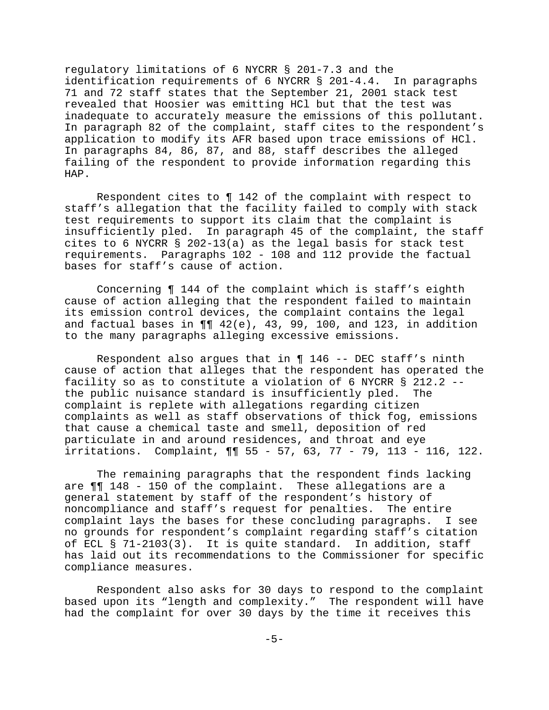regulatory limitations of 6 NYCRR § 201-7.3 and the identification requirements of 6 NYCRR § 201-4.4. In paragraphs 71 and 72 staff states that the September 21, 2001 stack test revealed that Hoosier was emitting HCl but that the test was inadequate to accurately measure the emissions of this pollutant. In paragraph 82 of the complaint, staff cites to the respondent's application to modify its AFR based upon trace emissions of HCl. In paragraphs 84, 86, 87, and 88, staff describes the alleged failing of the respondent to provide information regarding this HAP.

Respondent cites to ¶ 142 of the complaint with respect to staff's allegation that the facility failed to comply with stack test requirements to support its claim that the complaint is insufficiently pled. In paragraph 45 of the complaint, the staff cites to 6 NYCRR § 202-13(a) as the legal basis for stack test requirements. Paragraphs 102 - 108 and 112 provide the factual bases for staff's cause of action.

Concerning ¶ 144 of the complaint which is staff's eighth cause of action alleging that the respondent failed to maintain its emission control devices, the complaint contains the legal and factual bases in  $\P\P$  42(e), 43, 99, 100, and 123, in addition to the many paragraphs alleging excessive emissions.

Respondent also argues that in  $\P$  146 -- DEC staff's ninth cause of action that alleges that the respondent has operated the facility so as to constitute a violation of 6 NYCRR § 212.2 - the public nuisance standard is insufficiently pled. The complaint is replete with allegations regarding citizen complaints as well as staff observations of thick fog, emissions that cause a chemical taste and smell, deposition of red particulate in and around residences, and throat and eye irritations. Complaint, ¶¶ 55 - 57, 63, 77 - 79, 113 - 116, 122.

The remaining paragraphs that the respondent finds lacking are ¶¶ 148 - 150 of the complaint. These allegations are a general statement by staff of the respondent's history of noncompliance and staff's request for penalties. The entire complaint lays the bases for these concluding paragraphs. I see no grounds for respondent's complaint regarding staff's citation of ECL § 71-2103(3). It is quite standard. In addition, staff has laid out its recommendations to the Commissioner for specific compliance measures.

Respondent also asks for 30 days to respond to the complaint based upon its "length and complexity." The respondent will have had the complaint for over 30 days by the time it receives this